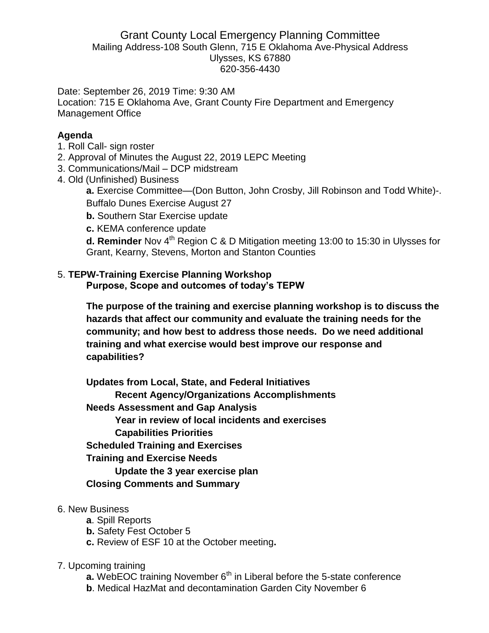### Grant County Local Emergency Planning Committee Mailing Address-108 South Glenn, 715 E Oklahoma Ave-Physical Address Ulysses, KS 67880 620-356-4430

Date: September 26, 2019 Time: 9:30 AM Location: 715 E Oklahoma Ave, Grant County Fire Department and Emergency Management Office

### **Agenda**

- 1. Roll Call- sign roster
- 2. Approval of Minutes the August 22, 2019 LEPC Meeting
- 3. Communications/Mail DCP midstream
- 4. Old (Unfinished) Business
	- **a.** Exercise Committee—(Don Button, John Crosby, Jill Robinson and Todd White)-. Buffalo Dunes Exercise August 27
	- **b.** Southern Star Exercise update
	- **c.** KEMA conference update

**d. Reminder** Nov 4<sup>th</sup> Region C & D Mitigation meeting 13:00 to 15:30 in Ulysses for Grant, Kearny, Stevens, Morton and Stanton Counties

#### 5. **TEPW-Training Exercise Planning Workshop Purpose, Scope and outcomes of today's TEPW**

**The purpose of the training and exercise planning workshop is to discuss the hazards that affect our community and evaluate the training needs for the community; and how best to address those needs. Do we need additional training and what exercise would best improve our response and capabilities?**

**Updates from Local, State, and Federal Initiatives Recent Agency/Organizations Accomplishments Needs Assessment and Gap Analysis Year in review of local incidents and exercises Capabilities Priorities Scheduled Training and Exercises Training and Exercise Needs Update the 3 year exercise plan Closing Comments and Summary**

# 6. New Business

- **a**. Spill Reports
- **b.** Safety Fest October 5
- **c.** Review of ESF 10 at the October meeting**.**

# 7. Upcoming training

- **a.** WebEOC training November 6<sup>th</sup> in Liberal before the 5-state conference
- **b**. Medical HazMat and decontamination Garden City November 6